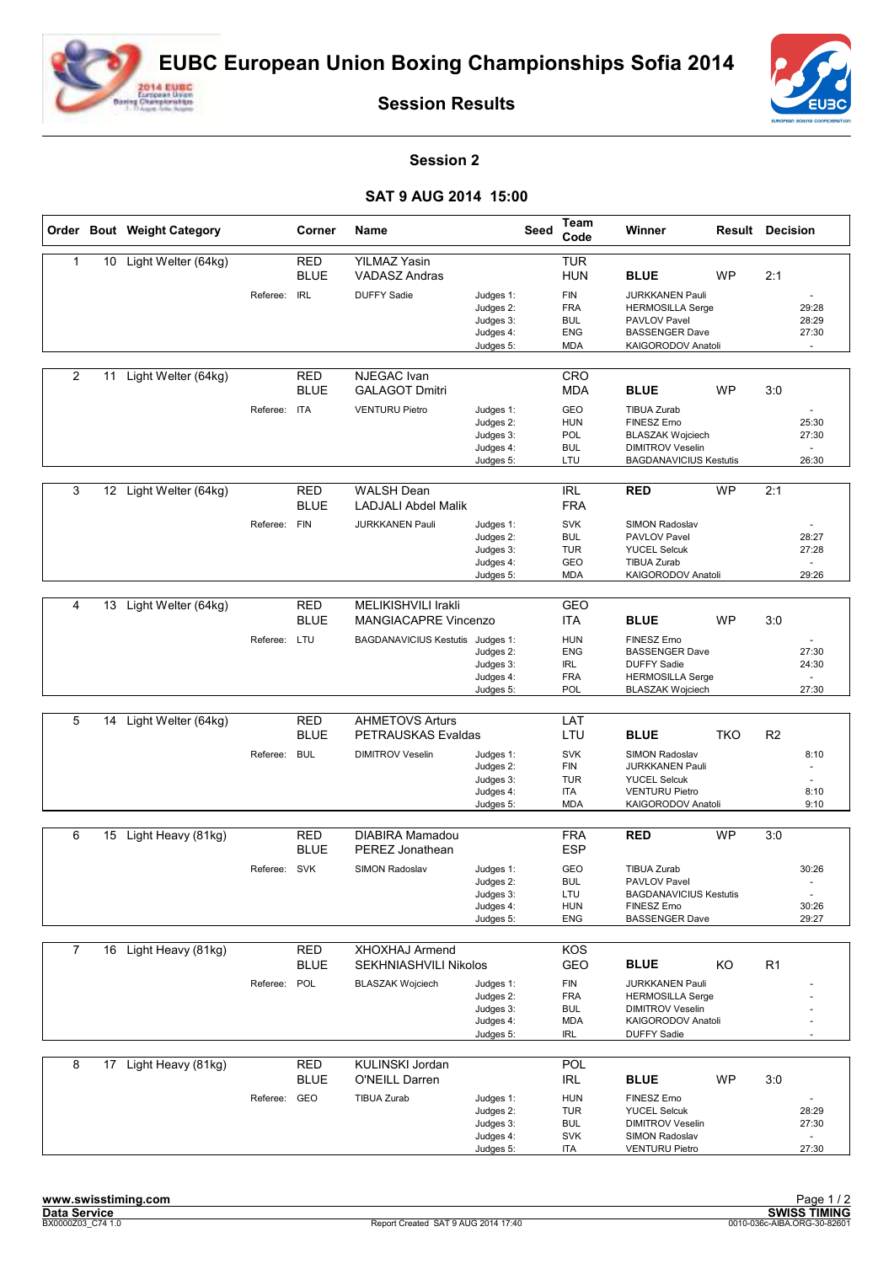



**Session Results**

## **Session 2**

## **SAT 9 AUG 2014 15:00**

|                |    | Order Bout Weight Category |              | Corner                    | Name                                         |                                                               | <b>Seed</b> | Team<br>Code                                                       | Winner                                                                                                                          |           | <b>Result Decision</b>                    |  |
|----------------|----|----------------------------|--------------|---------------------------|----------------------------------------------|---------------------------------------------------------------|-------------|--------------------------------------------------------------------|---------------------------------------------------------------------------------------------------------------------------------|-----------|-------------------------------------------|--|
| 1              | 10 | Light Welter (64kg)        |              | <b>RED</b><br><b>BLUE</b> | <b>YILMAZ Yasin</b><br><b>VADASZ Andras</b>  |                                                               |             | <b>TUR</b><br><b>HUN</b>                                           | <b>BLUE</b>                                                                                                                     | <b>WP</b> | 2:1                                       |  |
|                |    |                            | Referee:     | <b>IRL</b>                | <b>DUFFY Sadie</b>                           | Judges 1:<br>Judges 2:<br>Judges 3:<br>Judges 4:<br>Judges 5: |             | <b>FIN</b><br><b>FRA</b><br><b>BUL</b><br><b>ENG</b><br><b>MDA</b> | <b>JURKKANEN Pauli</b><br><b>HERMOSILLA Serge</b><br>PAVLOV Pavel<br><b>BASSENGER Dave</b><br>KAIGORODOV Anatoli                |           | 29:28<br>28:29<br>27:30                   |  |
| $\overline{2}$ | 11 | Light Welter (64kg)        |              | <b>RED</b><br><b>BLUE</b> | <b>NJEGAC</b> Ivan<br><b>GALAGOT Dmitri</b>  |                                                               |             | CRO<br><b>MDA</b>                                                  | <b>BLUE</b>                                                                                                                     | <b>WP</b> | 3:0                                       |  |
|                |    |                            | Referee: ITA |                           | <b>VENTURU Pietro</b>                        | Judges 1:<br>Judges 2:<br>Judges 3:<br>Judges 4:<br>Judges 5: |             | GEO<br><b>HUN</b><br><b>POL</b><br><b>BUL</b><br>LTU               | <b>TIBUA Zurab</b><br><b>FINESZ Erno</b><br><b>BLASZAK Wojciech</b><br><b>DIMITROV Veselin</b><br><b>BAGDANAVICIUS Kestutis</b> |           | 25:30<br>27:30<br>26:30                   |  |
|                |    |                            |              |                           |                                              |                                                               |             |                                                                    |                                                                                                                                 |           |                                           |  |
| 3              | 12 | Light Welter (64kg)        |              | <b>RED</b><br><b>BLUE</b> | <b>WALSH Dean</b><br>LADJALI Abdel Malik     |                                                               |             | <b>IRL</b><br><b>FRA</b>                                           | <b>RED</b>                                                                                                                      | <b>WP</b> | 2:1                                       |  |
|                |    |                            | Referee:     | <b>FIN</b>                | <b>JURKKANEN Pauli</b>                       | Judges 1:<br>Judges 2:<br>Judges 3:<br>Judges 4:<br>Judges 5: |             | <b>SVK</b><br><b>BUL</b><br><b>TUR</b><br>GEO<br><b>MDA</b>        | SIMON Radoslav<br>PAVLOV Pavel<br><b>YUCEL Selcuk</b><br><b>TIBUA Zurab</b><br>KAIGORODOV Anatoli                               |           | 28:27<br>27:28<br>$\sim$<br>29:26         |  |
|                |    |                            |              | <b>RED</b>                | MELIKISHVILI Irakli                          |                                                               |             |                                                                    |                                                                                                                                 |           |                                           |  |
| 4              |    | 13 Light Welter (64kg)     |              | <b>BLUE</b>               | <b>MANGIACAPRE Vincenzo</b>                  |                                                               |             | GEO<br><b>ITA</b>                                                  | <b>BLUE</b>                                                                                                                     | <b>WP</b> | 3:0                                       |  |
|                |    |                            | Referee: LTU |                           | BAGDANAVICIUS Kestutis Judges 1:             | Judges 2:<br>Judges 3:<br>Judges 4:<br>Judges 5:              |             | <b>HUN</b><br><b>ENG</b><br><b>IRL</b><br><b>FRA</b><br>POL        | <b>FINESZ Erno</b><br><b>BASSENGER Dave</b><br><b>DUFFY Sadie</b><br><b>HERMOSILLA Serge</b><br><b>BLASZAK Wojciech</b>         |           | 27:30<br>24:30<br>27:30                   |  |
|                |    |                            |              |                           |                                              |                                                               |             |                                                                    |                                                                                                                                 |           |                                           |  |
| 5              | 14 | Light Welter (64kg)        |              | <b>RED</b><br><b>BLUE</b> | <b>AHMETOVS Arturs</b><br>PETRAUSKAS Evaldas |                                                               |             | LAT<br>LTU                                                         | <b>BLUE</b>                                                                                                                     | TKO       | R <sub>2</sub>                            |  |
|                |    |                            | Referee:     | <b>BUL</b>                | <b>DIMITROV Veselin</b>                      | Judges 1:<br>Judges 2:<br>Judges 3:<br>Judges 4:<br>Judges 5: |             | <b>SVK</b><br><b>FIN</b><br><b>TUR</b><br>ITA<br><b>MDA</b>        | SIMON Radoslav<br><b>JURKKANEN Pauli</b><br><b>YUCEL Selcuk</b><br><b>VENTURU Pietro</b><br>KAIGORODOV Anatoli                  |           | 8:10<br>$\sim$<br>8:10<br>9:10            |  |
| 6              |    | 15 Light Heavy (81kg)      |              | <b>RED</b>                | <b>DIABIRA Mamadou</b>                       |                                                               |             | <b>FRA</b>                                                         | <b>RED</b>                                                                                                                      | <b>WP</b> | 3:0                                       |  |
|                |    |                            |              | <b>BLUE</b>               | PEREZ Jonathean                              |                                                               |             | <b>ESP</b>                                                         |                                                                                                                                 |           |                                           |  |
|                |    |                            | Referee:     | <b>SVK</b>                | <b>SIMON Radoslav</b>                        | Judges 1:<br>Judges 2:<br>Judges 3:<br>Judges 4:<br>Judges 5: |             | GEO<br><b>BUL</b><br>LTU<br><b>HUN</b><br>ENG                      | <b>TIBUA Zurab</b><br>PAVLOV Pavel<br><b>BAGDANAVICIUS Kestutis</b><br>FINESZ Erno<br><b>BASSENGER Dave</b>                     |           | 30:26<br>$\blacksquare$<br>30:26<br>29:27 |  |
| $\overline{7}$ |    | 16 Light Heavy (81kg)      |              | <b>RED</b><br><b>BLUE</b> | XHOXHAJ Armend<br>SEKHNIASHVILI Nikolos      |                                                               |             | <b>KOS</b><br>GEO                                                  | <b>BLUE</b>                                                                                                                     | KO        | R <sub>1</sub>                            |  |
|                |    |                            | Referee:     | POL                       | <b>BLASZAK Wojciech</b>                      | Judges 1:<br>Judges 2:<br>Judges 3:<br>Judges 4:<br>Judges 5: |             | <b>FIN</b><br><b>FRA</b><br><b>BUL</b><br><b>MDA</b><br>IRL        | <b>JURKKANEN Pauli</b><br><b>HERMOSILLA Serge</b><br><b>DIMITROV Veselin</b><br>KAIGORODOV Anatoli<br><b>DUFFY Sadie</b>        |           |                                           |  |
| 8              |    | 17 Light Heavy (81kg)      |              | <b>RED</b><br><b>BLUE</b> | KULINSKI Jordan<br>O'NEILL Darren            |                                                               |             | POL<br>IRL                                                         | <b>BLUE</b>                                                                                                                     | <b>WP</b> | 3:0                                       |  |
|                |    |                            | Referee: GEO |                           | <b>TIBUA Zurab</b>                           | Judges 1:<br>Judges 2:<br>Judges 3:<br>Judges 4:<br>Judges 5: |             | <b>HUN</b><br><b>TUR</b><br><b>BUL</b><br><b>SVK</b><br>ITA        | FINESZ Erno<br><b>YUCEL Selcuk</b><br><b>DIMITROV Veselin</b><br>SIMON Radoslav<br><b>VENTURU Pietro</b>                        |           | 28:29<br>27:30<br>27:30                   |  |